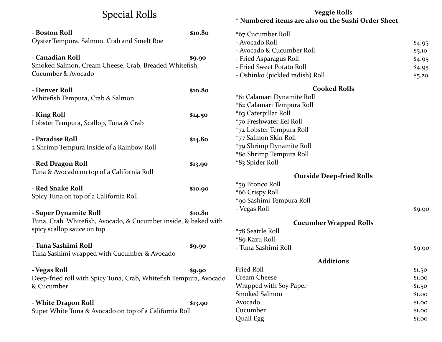## Special Rolls

|                                                                                          |         | * Numbered items are also on the Sushi Order Sheet |                  |
|------------------------------------------------------------------------------------------|---------|----------------------------------------------------|------------------|
| - Boston Roll                                                                            | \$10.80 | *67 Cucumber Roll                                  |                  |
| Oyster Tempura, Salmon, Crab and Smelt Roe                                               |         | - Avocado Roll                                     | \$4.95           |
|                                                                                          |         | - Avocado & Cucumber Roll                          | \$5.10           |
| - Canadian Roll                                                                          | \$9.90  | - Fried Asparagus Roll                             | \$4.95           |
| Smoked Salmon, Cream Cheese, Crab, Breaded Whitefish,                                    |         | - Fried Sweet Potato Roll                          | \$4.95           |
| Cucumber & Avocado                                                                       |         | - Oshinko (pickled radish) Roll                    | \$5.20           |
| - Denver Roll                                                                            | \$10.80 | <b>Cooked Rolls</b>                                |                  |
| Whitefish Tempura, Crab & Salmon                                                         |         | *61 Calamari Dynamite Roll                         |                  |
|                                                                                          |         | *62 Calamari Tempura Roll                          |                  |
| - King Roll                                                                              | \$14.50 | *63 Caterpillar Roll                               |                  |
| Lobster Tempura, Scallop, Tuna & Crab                                                    |         | *70 Freshwater Eel Roll                            |                  |
|                                                                                          |         | *72 Lobster Tempura Roll                           |                  |
| - Paradise Roll                                                                          | \$14.80 | *77 Salmon Skin Roll                               |                  |
| 2 Shrimp Tempura Inside of a Rainbow Roll                                                |         | *79 Shrimp Dynamite Roll                           |                  |
|                                                                                          |         | *80 Shrimp Tempura Roll                            |                  |
| - Red Dragon Roll                                                                        | \$13.90 | *83 Spider Roll                                    |                  |
| Tuna & Avocado on top of a California Roll                                               |         | <b>Outside Deep-fried Rolls</b>                    |                  |
|                                                                                          |         | *59 Bronco Roll                                    |                  |
| - Red Snake Roll                                                                         | \$10.90 | *66 Crispy Roll                                    |                  |
| Spicy Tuna on top of a California Roll                                                   |         | *90 Sashimi Tempura Roll                           |                  |
|                                                                                          |         | - Vegas Roll                                       | \$9.90           |
| - Super Dynamite Roll                                                                    | \$10.80 |                                                    |                  |
| Tuna, Crab, Whitefish, Avocado, & Cucumber inside, & baked with                          |         | <b>Cucumber Wrapped Rolls</b>                      |                  |
| spicy scallop sauce on top                                                               |         | *78 Seattle Roll                                   |                  |
|                                                                                          |         | *89 Kazu Roll                                      |                  |
| - Tuna Sashimi Roll                                                                      | \$9.90  | - Tuna Sashimi Roll                                | \$9.90           |
| Tuna Sashimi wrapped with Cucumber & Avocado                                             |         |                                                    |                  |
|                                                                                          |         | <b>Additions</b><br>Fried Roll                     |                  |
| - Vegas Roll                                                                             | \$9.90  | <b>Cream Cheese</b>                                | \$1.50           |
| Deep-fried roll with Spicy Tuna, Crab, Whitefish Tempura, Avocado                        |         | Wrapped with Soy Paper                             | \$1.00           |
| & Cucumber                                                                               |         | Smoked Salmon                                      | \$1.50           |
|                                                                                          |         | Avocado                                            | \$1.00<br>\$1.00 |
| - White Dragon Roll<br>\$13.90<br>Super White Tuna & Avocado on top of a California Roll |         | Cucumber                                           | \$1.00           |
|                                                                                          |         | Quail Egg                                          | \$1.00           |
|                                                                                          |         |                                                    |                  |

**Veggie Rolls**